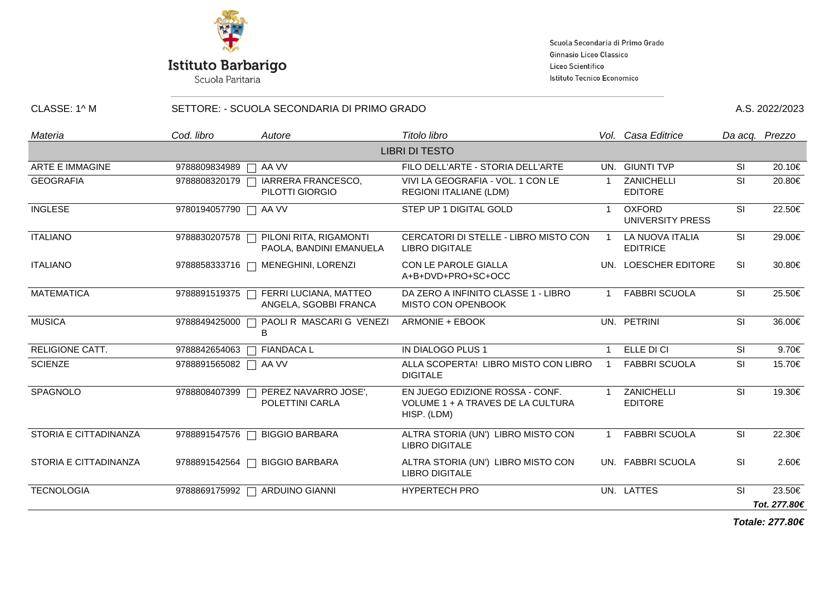

Scuola Secondaria di Primo Grado Ginnasio Liceo Classico Liceo Scientifico Istituto Tecnico Economico

| CLASSE: 1^ M           | SETTORE: - SCUOLA SECONDARIA DI PRIMO GRADO |                                                                   |                                                                                     |                |                                          | A.S. 2022/2023 |                        |
|------------------------|---------------------------------------------|-------------------------------------------------------------------|-------------------------------------------------------------------------------------|----------------|------------------------------------------|----------------|------------------------|
| Materia                | Cod. libro                                  | Autore                                                            | Titolo libro                                                                        |                | Vol. Casa Editrice                       |                | Da acq. Prezzo         |
|                        |                                             |                                                                   | <b>LIBRI DI TESTO</b>                                                               |                |                                          |                |                        |
| <b>ARTE E IMMAGINE</b> | 9788809834989   AA VV                       |                                                                   | FILO DELL'ARTE - STORIA DELL'ARTE                                                   |                | UN. GIUNTI TVP                           | -SI            | 20.10€                 |
| <b>GEOGRAFIA</b>       |                                             | 9788808320179   IARRERA FRANCESCO,<br>PILOTTI GIORGIO             | VIVI LA GEOGRAFIA - VOL. 1 CON LE<br>REGIONI ITALIANE (LDM)                         |                | ZANICHELLI<br><b>EDITORE</b>             | <b>SI</b>      | 20.80€                 |
| <b>INGLESE</b>         | 9780194057790   AA VV                       |                                                                   | STEP UP 1 DIGITAL GOLD                                                              |                | <b>OXFORD</b><br><b>UNIVERSITY PRESS</b> | <b>SI</b>      | 22.50€                 |
| <b>ITALIANO</b>        |                                             | 9788830207578   PILONI RITA, RIGAMONTI<br>PAOLA, BANDINI EMANUELA | CERCATORI DI STELLE - LIBRO MISTO CON<br><b>LIBRO DIGITALE</b>                      | $\overline{1}$ | LA NUOVA ITALIA<br><b>EDITRICE</b>       | SI             | 29.00€                 |
| <b>ITALIANO</b>        |                                             | 9788858333716   MENEGHINI, LORENZI                                | CON LE PAROLE GIALLA<br>A+B+DVD+PRO+SC+OCC                                          |                | UN. LOESCHER EDITORE                     | <b>SI</b>      | 30.80€                 |
| <b>MATEMATICA</b>      |                                             | 9788891519375   FERRI LUCIANA, MATTEO<br>ANGELA, SGOBBI FRANCA    | DA ZERO A INFINITO CLASSE 1 - LIBRO<br><b>MISTO CON OPENBOOK</b>                    |                | <b>FABBRI SCUOLA</b>                     | SI             | 25.50€                 |
| <b>MUSICA</b>          | 9788849425000                               | PAOLI R MASCARI G VENEZI<br>B                                     | ARMONIE + EBOOK                                                                     |                | UN. PETRINI                              | SI             | 36.00€                 |
| <b>RELIGIONE CATT.</b> |                                             | 9788842654063   FIANDACA L                                        | IN DIALOGO PLUS 1                                                                   |                | ELLE DI CI                               | <b>SI</b>      | 9.70€                  |
| <b>SCIENZE</b>         | 9788891565082 □ AA VV                       |                                                                   | ALLA SCOPERTA! LIBRO MISTO CON LIBRO<br><b>DIGITALE</b>                             | $\overline{1}$ | <b>FABBRI SCUOLA</b>                     | <b>SI</b>      | 15.70€                 |
| SPAGNOLO               | 9788808407399                               | PEREZ NAVARRO JOSE',<br>POLETTINI CARLA                           | EN JUEGO EDIZIONE ROSSA - CONF.<br>VOLUME 1 + A TRAVES DE LA CULTURA<br>HISP. (LDM) |                | ZANICHELLI<br><b>EDITORE</b>             | <b>SI</b>      | 19.30€                 |
| STORIA E CITTADINANZA  |                                             | 9788891547576 □ BIGGIO BARBARA                                    | ALTRA STORIA (UN') LIBRO MISTO CON<br><b>LIBRO DIGITALE</b>                         | $\mathbf{1}$   | <b>FABBRI SCUOLA</b>                     | SI             | 22.30€                 |
| STORIA E CITTADINANZA  |                                             | 9788891542564 □ BIGGIO BARBARA                                    | ALTRA STORIA (UN') LIBRO MISTO CON<br><b>LIBRO DIGITALE</b>                         |                | UN. FABBRI SCUOLA                        | SI             | 2.60€                  |
| <b>TECNOLOGIA</b>      |                                             | 9788869175992   ARDUINO GIANNI                                    | HYPERTECH PRO                                                                       |                | UN. LATTES                               | SI             | 23.50€<br>Tot. 277.80€ |

**Totale: 277.80€**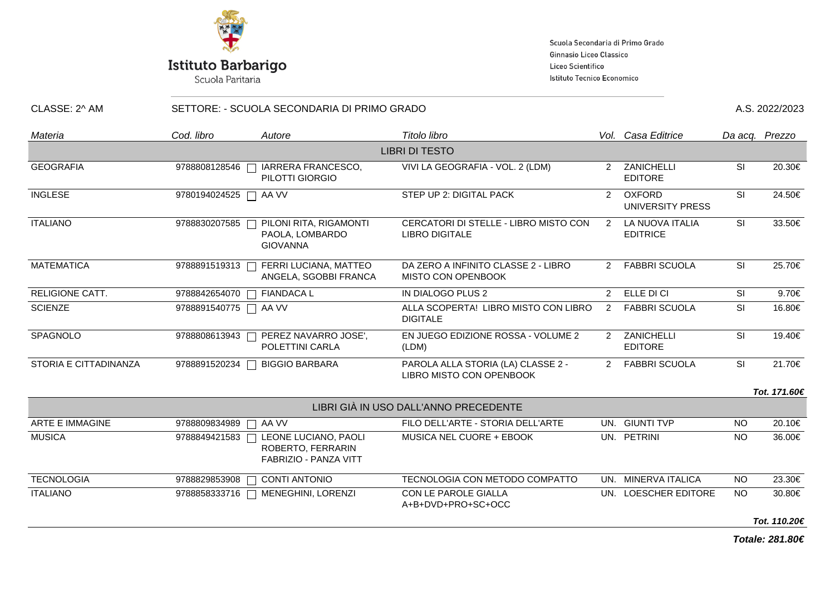

Scuola Secondaria di Primo Grado Ginnasio Liceo Classico Liceo Scientifico Istituto Tecnico Economico

| CLASSE: 2^ AM         | SETTORE: - SCUOLA SECONDARIA DI PRIMO GRADO |                                                                    |                                                                |               |                                    | A.S. 2022/2023 |              |  |
|-----------------------|---------------------------------------------|--------------------------------------------------------------------|----------------------------------------------------------------|---------------|------------------------------------|----------------|--------------|--|
| Materia               | Cod. libro                                  | Autore                                                             | Titolo libro                                                   |               | Vol. Casa Editrice                 | Da acq. Prezzo |              |  |
|                       |                                             |                                                                    | <b>LIBRI DI TESTO</b>                                          |               |                                    |                |              |  |
| <b>GEOGRAFIA</b>      | 9788808128546                               | IARRERA FRANCESCO,<br>PILOTTI GIORGIO                              | VIVI LA GEOGRAFIA - VOL. 2 (LDM)                               |               | 2 ZANICHELLI<br><b>EDITORE</b>     | <b>SI</b>      | 20.30€       |  |
| <b>INGLESE</b>        | 9780194024525                               | AA VV                                                              | STEP UP 2: DIGITAL PACK                                        | $2^{\circ}$   | <b>OXFORD</b><br>UNIVERSITY PRESS  | SI             | 24.50€       |  |
| <b>ITALIANO</b>       | 9788830207585                               | PILONI RITA, RIGAMONTI<br>PAOLA, LOMBARDO<br><b>GIOVANNA</b>       | CERCATORI DI STELLE - LIBRO MISTO CON<br><b>LIBRO DIGITALE</b> | 2             | LA NUOVA ITALIA<br><b>EDITRICE</b> | <b>SI</b>      | 33.50€       |  |
| <b>MATEMATICA</b>     | 9788891519313                               | FERRI LUCIANA, MATTEO<br>ANGELA, SGOBBI FRANCA                     | DA ZERO A INFINITO CLASSE 2 - LIBRO<br>MISTO CON OPENBOOK      |               | 2 FABBRI SCUOLA                    | <b>SI</b>      | 25.70€       |  |
| RELIGIONE CATT.       | 9788842654070                               | <b>FIANDACA L</b>                                                  | IN DIALOGO PLUS 2                                              |               | 2 ELLE DI CI                       | SI             | 9.70€        |  |
| <b>SCIENZE</b>        | 9788891540775                               | AA VV<br>$\Box$                                                    | ALLA SCOPERTA! LIBRO MISTO CON LIBRO<br><b>DIGITALE</b>        | $\mathcal{P}$ | <b>FABBRI SCUOLA</b>               | <b>SI</b>      | 16.80€       |  |
| SPAGNOLO              | 9788808613943                               | PEREZ NAVARRO JOSE',<br>POLETTINI CARLA                            | EN JUEGO EDIZIONE ROSSA - VOLUME 2<br>(LDM)                    |               | 2 ZANICHELLI<br><b>EDITORE</b>     | <b>SI</b>      | 19.40€       |  |
| STORIA E CITTADINANZA | 9788891520234                               | <b>BIGGIO BARBARA</b>                                              | PAROLA ALLA STORIA (LA) CLASSE 2 -<br>LIBRO MISTO CON OPENBOOK |               | 2 FABBRI SCUOLA                    | <b>SI</b>      | 21.70€       |  |
|                       |                                             |                                                                    |                                                                |               |                                    |                | Tot. 171.60€ |  |
|                       |                                             |                                                                    | LIBRI GIÀ IN USO DALL'ANNO PRECEDENTE                          |               |                                    |                |              |  |
| ARTE E IMMAGINE       | 9788809834989                               | AA VV                                                              | FILO DELL'ARTE - STORIA DELL'ARTE                              |               | UN. GIUNTI TVP                     | <b>NO</b>      | 20.10€       |  |
| <b>MUSICA</b>         | 9788849421583                               | LEONE LUCIANO, PAOLI<br>ROBERTO, FERRARIN<br>FABRIZIO - PANZA VITT | MUSICA NEL CUORE + EBOOK                                       |               | UN. PETRINI                        | <b>NO</b>      | 36.00€       |  |
| <b>TECNOLOGIA</b>     | 9788829853908                               | <b>CONTI ANTONIO</b>                                               | TECNOLOGIA CON METODO COMPATTO                                 |               | UN. MINERVA ITALICA                | <b>NO</b>      | 23.30€       |  |
| <b>ITALIANO</b>       | 9788858333716                               | MENEGHINI, LORENZI                                                 | CON LE PAROLE GIALLA<br>A+B+DVD+PRO+SC+OCC                     |               | UN. LOESCHER EDITORE               | NO.            | 30.80€       |  |
|                       |                                             |                                                                    |                                                                |               |                                    |                | Tot. 110.20€ |  |

**Totale: 281.80€**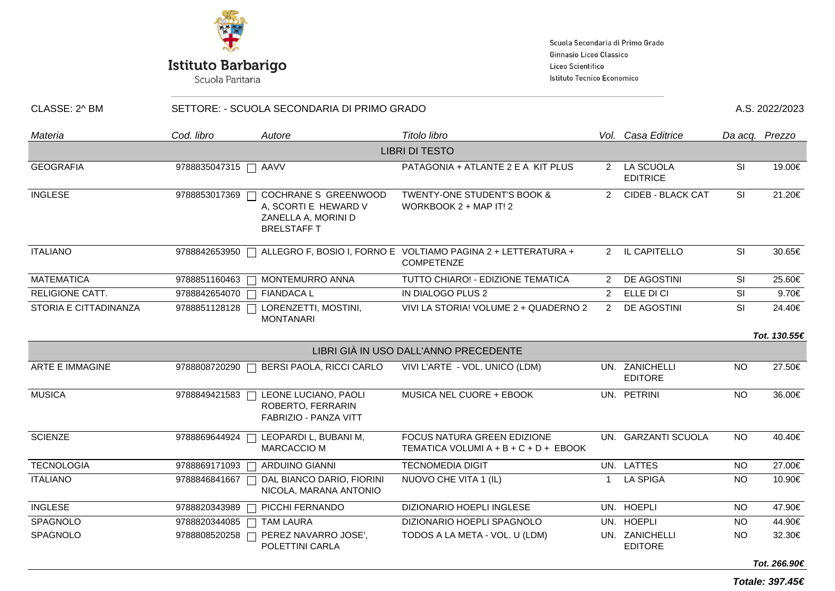

Scuola Secondaria di Primo Grado Ginnasio Liceo Classico Liceo Scientifico Istituto Tecnico Economico

| CLASSE: 2^ BM          | SETTORE: - SCUOLA SECONDARIA DI PRIMO GRADO |                                                                                           |                                                                                    |                |                                  |           | A.S. 2022/2023 |  |
|------------------------|---------------------------------------------|-------------------------------------------------------------------------------------------|------------------------------------------------------------------------------------|----------------|----------------------------------|-----------|----------------|--|
| Materia                | Cod. libro                                  | Autore                                                                                    | Titolo libro                                                                       |                | Vol. Casa Editrice               |           | Da acq. Prezzo |  |
|                        |                                             |                                                                                           | <b>LIBRI DI TESTO</b>                                                              |                |                                  |           |                |  |
| <b>GEOGRAFIA</b>       | 9788835047315   AAVV                        |                                                                                           | PATAGONIA + ATLANTE 2 E A KIT PLUS                                                 |                | 2 LA SCUOLA<br><b>EDITRICE</b>   | SI        | 19.00€         |  |
| <b>INGLESE</b>         | 9788853017369                               | COCHRANE S GREENWOOD<br>A, SCORTI E HEWARD V<br>ZANELLA A, MORINI D<br><b>BRELSTAFF T</b> | <b>TWENTY-ONE STUDENT'S BOOK &amp;</b><br>WORKBOOK 2 + MAP IT! 2                   | $2^{\circ}$    | <b>CIDEB - BLACK CAT</b>         | <b>SI</b> | 21.20€         |  |
| <b>ITALIANO</b>        | 9788842653950                               |                                                                                           | ALLEGRO F, BOSIO I, FORNO E VOLTIAMO PAGINA 2 + LETTERATURA +<br><b>COMPETENZE</b> |                | 2 IL CAPITELLO                   | SI        | 30.65€         |  |
| <b>MATEMATICA</b>      |                                             | 9788851160463   MONTEMURRO ANNA                                                           | TUTTO CHIARO! - EDIZIONE TEMATICA                                                  | $\mathcal{P}$  | DE AGOSTINI                      | <b>SI</b> | 25.60€         |  |
| <b>RELIGIONE CATT.</b> | 9788842654070 □ FIANDACA L                  |                                                                                           | IN DIALOGO PLUS 2                                                                  | $\overline{2}$ | ELLE DI CI                       | SI        | 9.70€          |  |
| STORIA E CITTADINANZA  | 9788851128128                               | LORENZETTI, MOSTINI,<br><b>MONTANARI</b>                                                  | VIVI LA STORIA! VOLUME 2 + QUADERNO 2                                              |                | 2 DE AGOSTINI                    | SI        | 24.40€         |  |
|                        |                                             |                                                                                           |                                                                                    |                |                                  |           | Tot. 130.55€   |  |
|                        |                                             |                                                                                           | LIBRI GIÀ IN USO DALL'ANNO PRECEDENTE                                              |                |                                  |           |                |  |
| <b>ARTE E IMMAGINE</b> | 9788808720290                               | BERSI PAOLA, RICCI CARLO                                                                  | VIVI L'ARTE - VOL. UNICO (LDM)                                                     |                | UN. ZANICHELLI<br><b>EDITORE</b> | <b>NO</b> | 27.50€         |  |
| <b>MUSICA</b>          | 9788849421583                               | LEONE LUCIANO, PAOLI<br>ROBERTO, FERRARIN<br>FABRIZIO - PANZA VITT                        | MUSICA NEL CUORE + EBOOK                                                           |                | UN. PETRINI                      | <b>NO</b> | 36.00€         |  |
| <b>SCIENZE</b>         | 9788869644924                               | LEOPARDI L, BUBANI M,<br><b>MARCACCIO M</b>                                               | FOCUS NATURA GREEN EDIZIONE<br>TEMATICA VOLUMI A + B + C + D + EBOOK               |                | UN. GARZANTI SCUOLA              | <b>NO</b> | 40.40€         |  |
| <b>TECNOLOGIA</b>      | 9788869171093                               | ARDUINO GIANNI                                                                            | <b>TECNOMEDIA DIGIT</b>                                                            |                | UN. LATTES                       | NO.       | 27.00€         |  |
| <b>ITALIANO</b>        | 9788846841667                               | DAL BIANCO DARIO, FIORINI<br>NICOLA, MARANA ANTONIO                                       | NUOVO CHE VITA 1 (IL)                                                              | $\mathbf 1$    | <b>LA SPIGA</b>                  | <b>NO</b> | 10.90€         |  |
| <b>INGLESE</b>         | 9788820343989                               | PICCHI FERNANDO                                                                           | DIZIONARIO HOEPLI INGLESE                                                          |                | UN. HOEPLI                       | NO.       | 47.90€         |  |
| SPAGNOLO               | 9788820344085                               | <b>TAM LAURA</b>                                                                          | DIZIONARIO HOEPLI SPAGNOLO                                                         |                | UN. HOEPLI                       | NO.       | 44.90€         |  |
| SPAGNOLO               | 9788808520258                               | PEREZ NAVARRO JOSE',<br>POLETTINI CARLA                                                   | TODOS A LA META - VOL. U (LDM)                                                     |                | UN. ZANICHELLI<br><b>EDITORE</b> | <b>NO</b> | 32.30€         |  |

**Totale: 397.45€**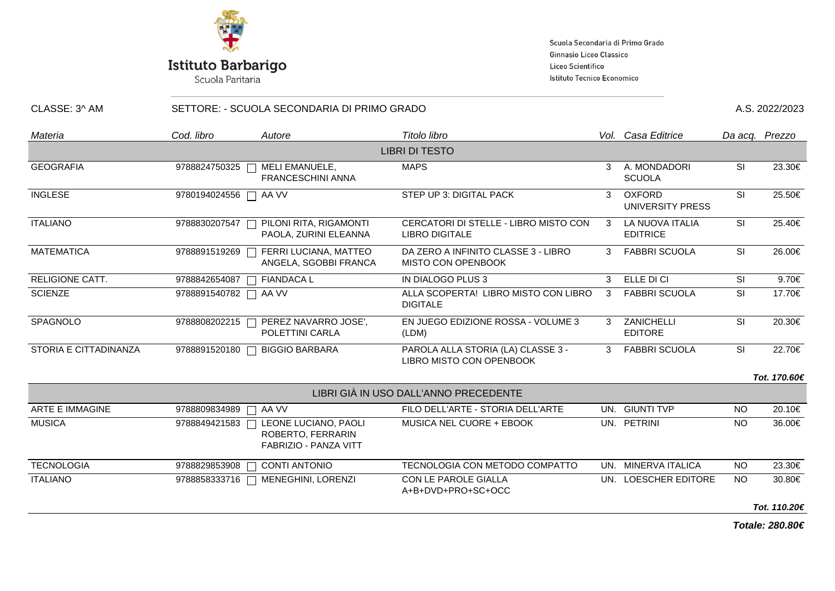

Scuola Secondaria di Primo Grado Ginnasio Liceo Classico Liceo Scientifico Istituto Tecnico Economico

| CLASSE: 3^ AM          |                       | SETTORE: - SCUOLA SECONDARIA DI PRIMO GRADO                               |                                                                |   |                                          | A.S. 2022/2023 |                |  |
|------------------------|-----------------------|---------------------------------------------------------------------------|----------------------------------------------------------------|---|------------------------------------------|----------------|----------------|--|
| Materia                | Cod. libro            | Autore                                                                    | Titolo libro                                                   |   | Vol. Casa Editrice                       |                | Da acq. Prezzo |  |
|                        |                       |                                                                           | <b>LIBRI DI TESTO</b>                                          |   |                                          |                |                |  |
| <b>GEOGRAFIA</b>       | 9788824750325         | MELI EMANUELE,<br><b>FRANCESCHINI ANNA</b>                                | <b>MAPS</b>                                                    | 3 | A. MONDADORI<br><b>SCUOLA</b>            | SI             | 23.30€         |  |
| <b>INGLESE</b>         | 9780194024556 □ AA VV |                                                                           | STEP UP 3: DIGITAL PACK                                        | 3 | <b>OXFORD</b><br><b>UNIVERSITY PRESS</b> | SI             | 25.50€         |  |
| <b>ITALIANO</b>        | 9788830207547         | PILONI RITA, RIGAMONTI<br>PAOLA, ZURINI ELEANNA                           | CERCATORI DI STELLE - LIBRO MISTO CON<br><b>LIBRO DIGITALE</b> | 3 | LA NUOVA ITALIA<br><b>EDITRICE</b>       | SI             | 25.40€         |  |
| <b>MATEMATICA</b>      | 9788891519269         | FERRI LUCIANA, MATTEO<br>ANGELA, SGOBBI FRANCA                            | DA ZERO A INFINITO CLASSE 3 - LIBRO<br>MISTO CON OPENBOOK      | 3 | <b>FABBRI SCUOLA</b>                     | SI             | 26.00€         |  |
| <b>RELIGIONE CATT.</b> | 9788842654087         | <b>FIANDACA L</b>                                                         | IN DIALOGO PLUS 3                                              | 3 | ELLE DI CI                               | SI             | 9.70€          |  |
| <b>SCIENZE</b>         | 9788891540782   AA VV |                                                                           | ALLA SCOPERTA! LIBRO MISTO CON LIBRO<br><b>DIGITALE</b>        | 3 | <b>FABBRI SCUOLA</b>                     | <b>SI</b>      | 17.70€         |  |
| SPAGNOLO               | 9788808202215         | PEREZ NAVARRO JOSE',<br>POLETTINI CARLA                                   | EN JUEGO EDIZIONE ROSSA - VOLUME 3<br>(LDM)                    | 3 | ZANICHELLI<br><b>EDITORE</b>             | SI             | 20.30€         |  |
| STORIA E CITTADINANZA  | 9788891520180         | <b>BIGGIO BARBARA</b>                                                     | PAROLA ALLA STORIA (LA) CLASSE 3 -<br>LIBRO MISTO CON OPENBOOK | 3 | <b>FABBRI SCUOLA</b>                     | SI             | 22.70€         |  |
|                        |                       |                                                                           |                                                                |   |                                          |                | Tot. 170.60€   |  |
|                        |                       |                                                                           | LIBRI GIÀ IN USO DALL'ANNO PRECEDENTE                          |   |                                          |                |                |  |
| <b>ARTE E IMMAGINE</b> | 9788809834989         | AA VV<br>┓                                                                | FILO DELL'ARTE - STORIA DELL'ARTE                              |   | UN. GIUNTI TVP                           | <b>NO</b>      | 20.10€         |  |
| <b>MUSICA</b>          | 9788849421583         | LEONE LUCIANO, PAOLI<br>ROBERTO, FERRARIN<br><b>FABRIZIO - PANZA VITT</b> | MUSICA NEL CUORE + EBOOK                                       |   | UN. PETRINI                              | <b>NO</b>      | 36.00€         |  |
| <b>TECNOLOGIA</b>      | 9788829853908         | <b>CONTI ANTONIO</b>                                                      | TECNOLOGIA CON METODO COMPATTO                                 |   | UN. MINERVA ITALICA                      | <b>NO</b>      | 23.30€         |  |
| <b>ITALIANO</b>        | 9788858333716         | MENEGHINI, LORENZI<br>$\overline{\phantom{a}}$                            | CON LE PAROLE GIALLA<br>A+B+DVD+PRO+SC+OCC                     |   | UN. LOESCHER EDITORE                     | <b>NO</b>      | 30.80€         |  |
|                        |                       |                                                                           |                                                                |   |                                          |                | Tot. 110.20€   |  |

**Totale: 280.80€**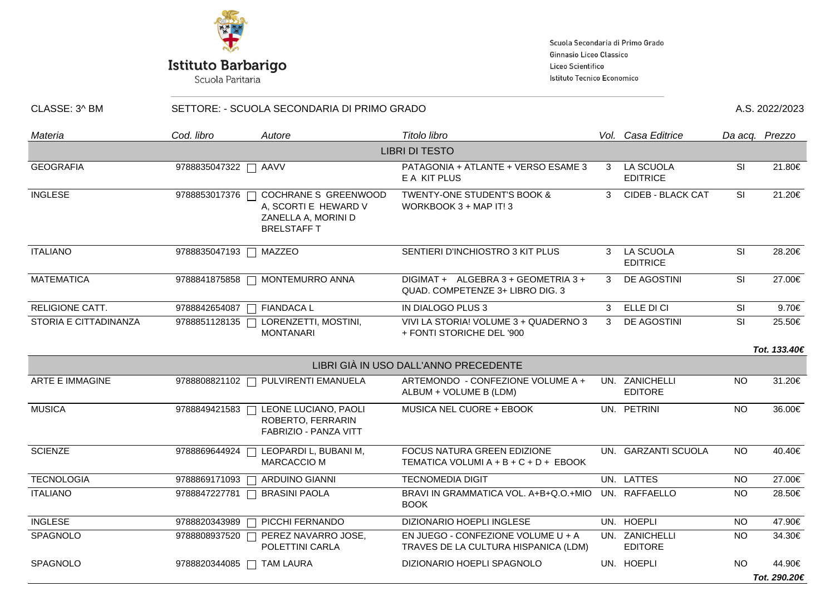

Scuola Secondaria di Primo Grado Ginnasio Liceo Classico Liceo Scientifico Istituto Tecnico Economico

| CLASSE: 3^ BM          |               | SETTORE: - SCUOLA SECONDARIA DI PRIMO GRADO                                                      |                                                                            |   |                                  |           | A.S. 2022/2023 |  |
|------------------------|---------------|--------------------------------------------------------------------------------------------------|----------------------------------------------------------------------------|---|----------------------------------|-----------|----------------|--|
| Materia                | Cod. libro    | Autore                                                                                           | Titolo libro                                                               |   | Vol. Casa Editrice               |           | Da acq. Prezzo |  |
|                        |               |                                                                                                  | <b>LIBRI DI TESTO</b>                                                      |   |                                  |           |                |  |
| <b>GEOGRAFIA</b>       | 9788835047322 | AAVV                                                                                             | PATAGONIA + ATLANTE + VERSO ESAME 3<br>E A KIT PLUS                        | 3 | LA SCUOLA<br><b>EDITRICE</b>     | <b>SI</b> | 21.80€         |  |
| <b>INGLESE</b>         | 9788853017376 | <b>COCHRANE S GREENWOOD</b><br>A, SCORTI E HEWARD V<br>ZANELLA A, MORINI D<br><b>BRELSTAFF T</b> | <b>TWENTY-ONE STUDENT'S BOOK &amp;</b><br>WORKBOOK 3 + MAP IT! 3           | 3 | <b>CIDEB - BLACK CAT</b>         | <b>SI</b> | 21.20€         |  |
| <b>ITALIANO</b>        | 9788835047193 | MAZZEO                                                                                           | SENTIERI D'INCHIOSTRO 3 KIT PLUS                                           | 3 | LA SCUOLA<br><b>EDITRICE</b>     | SI        | 28.20€         |  |
| <b>MATEMATICA</b>      | 9788841875858 | MONTEMURRO ANNA                                                                                  | DIGIMAT + ALGEBRA 3 + GEOMETRIA 3 +<br>QUAD. COMPETENZE 3+ LIBRO DIG. 3    | 3 | DE AGOSTINI                      | SI        | 27.00€         |  |
| <b>RELIGIONE CATT.</b> | 9788842654087 | <b>FIANDACA L</b>                                                                                | IN DIALOGO PLUS 3                                                          | 3 | ELLE DI CI                       | <b>SI</b> | 9.70€          |  |
| STORIA E CITTADINANZA  | 9788851128135 | LORENZETTI, MOSTINI,<br><b>MONTANARI</b>                                                         | VIVI LA STORIA! VOLUME 3 + QUADERNO 3<br>+ FONTI STORICHE DEL '900         | 3 | DE AGOSTINI                      | SI        | 25.50€         |  |
|                        |               |                                                                                                  |                                                                            |   |                                  |           | Tot. 133.40€   |  |
|                        |               |                                                                                                  | LIBRI GIÀ IN USO DALL'ANNO PRECEDENTE                                      |   |                                  |           |                |  |
| ARTE E IMMAGINE        | 9788808821102 | PULVIRENTI EMANUELA                                                                              | ARTEMONDO - CONFEZIONE VOLUME A +<br>ALBUM + VOLUME B (LDM)                |   | UN. ZANICHELLI<br><b>EDITORE</b> | <b>NO</b> | 31.20€         |  |
| <b>MUSICA</b>          | 9788849421583 | LEONE LUCIANO, PAOLI<br>ROBERTO, FERRARIN<br>FABRIZIO - PANZA VITT                               | MUSICA NEL CUORE + EBOOK                                                   |   | UN. PETRINI                      | <b>NO</b> | 36.00€         |  |
| <b>SCIENZE</b>         | 9788869644924 | LEOPARDI L, BUBANI M,<br>MARCACCIO M                                                             | FOCUS NATURA GREEN EDIZIONE<br>TEMATICA VOLUMI A + B + C + D + EBOOK       |   | UN. GARZANTI SCUOLA              | <b>NO</b> | 40.40€         |  |
| <b>TECNOLOGIA</b>      | 9788869171093 | ARDUINO GIANNI                                                                                   | <b>TECNOMEDIA DIGIT</b>                                                    |   | UN. LATTES                       | <b>NO</b> | 27.00€         |  |
| <b>ITALIANO</b>        | 9788847227781 | <b>BRASINI PAOLA</b>                                                                             | BRAVI IN GRAMMATICA VOL. A+B+Q.O.+MIO<br><b>BOOK</b>                       |   | UN. RAFFAELLO                    | NO.       | 28.50€         |  |
| <b>INGLESE</b>         | 9788820343989 | PICCHI FERNANDO                                                                                  | DIZIONARIO HOEPLI INGLESE                                                  |   | UN. HOEPLI                       | <b>NO</b> | 47.90€         |  |
| SPAGNOLO               | 9788808937520 | PEREZ NAVARRO JOSE,<br>POLETTINI CARLA                                                           | EN JUEGO - CONFEZIONE VOLUME U + A<br>TRAVES DE LA CULTURA HISPANICA (LDM) |   | UN. ZANICHELLI<br><b>EDITORE</b> | NO.       | 34.30€         |  |
| SPAGNOLO               |               | 9788820344085 □ TAM LAURA                                                                        | DIZIONARIO HOEPLI SPAGNOLO                                                 |   | UN. HOEPLI                       | NO.       | 44.90€         |  |